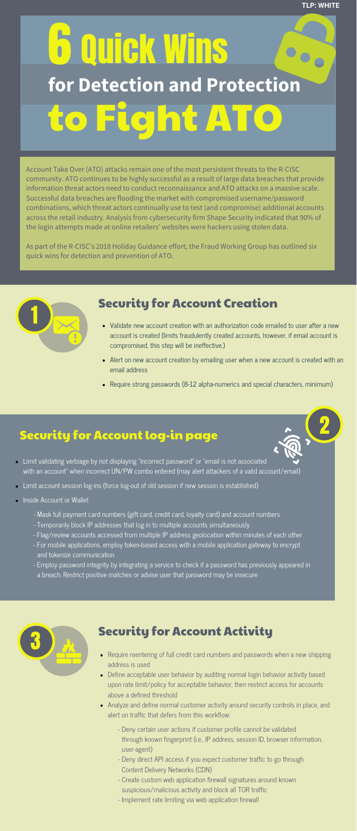# Security for Account Creation

- Validate new account creation with an authorization code emailed to user after a new account is created (limits fraudulently created accounts, however, if email account is compromised, this step will be ineffective.)
- Alert on new account creation by emailing user when a new account is created with an email address
- Require strong passwords (8-12 alpha-numerics and special characters, minimum)

Account Take Over (ATO) attacks remain one of the most persistent threats to the R-CISC community. ATO continues to be highly successful as a result of large data breaches that provide information threat actors need to conduct reconnaissance and ATO attacks on a massive scale. Successful data breaches are flooding the market with compromised username/password combinations, which threat actors continually use to test (and compromise) additional accounts across the retail industry. Analysis from cybersecurity firm Shape Security indicated that 90% of the login attempts made at online retailers' websites were hackers using stolen data.

As part of the R-CISC's 2018 Holiday Guidance effort, the Fraud Working Group has outlined six quick wins for detection and prevention of ATO.

- Limit validating verbiage by not displaying "incorrect password" or "email is not associated with an accountˉ when incorrect UN/PW combo entered (may alert attackers of a valid account/email)
- Limit account session log-ins (force log-out of old session if new session is established)
- Inside Account or Wallet
	- Mask full payment card numbers (gift card, credit card, loyalty card) and account numbers
	- Temporarily block IP addresses that log in to multiple accounts simultaneously
	- Flag/review accounts accessed from multiple IP address geolocation within minutes of each other
	- - For mobile applications, employ token-based access with a mobile application gateway to encrypt and tokenize communication
	- - Employ password integrity by integrating a service to check if a password has previously appeared in a breach. Restrict positive matches or advise user that password may be insecure

# 6 Quick Wins to Fight ATO **for Detection and Protection**

ŵ



#### Security for Account Activity

- Require reentering of full credit card numbers and passwords when a new shipping address is used
- Define acceptable user behavior by auditing normal login behavior activity based upon rate limit/policy for acceptable behavior, then restrict access for accounts above a defined threshold
- Analyze and define normal customer activity around security controls in place, and alert on traffic that defers from this workflow:
	- - Deny certain user actions if customer profile cannot be validated through known fingerprint (i.e., IP address, session ID, browser information, user-agent)
	- - Deny direct API access if you expect customer traffic to go through Content Delivery Networks (CDN)
	- - Create custom web application firewall signatures around known suspicious/malicious activity and block all TOR traffic
	- Implement rate limiting via web application firewall

### Security for Account log-in page